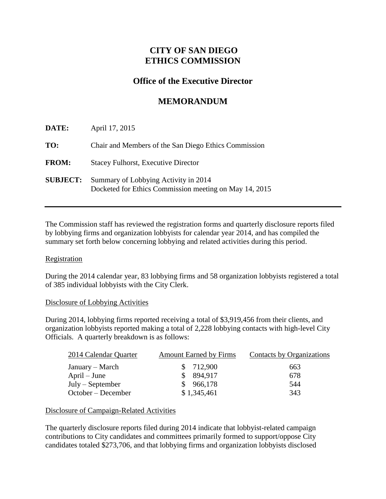## **CITY OF SAN DIEGO ETHICS COMMISSION**

## **Office of the Executive Director**

# **MEMORANDUM**

| DATE:           | April 17, 2015                                                                                 |
|-----------------|------------------------------------------------------------------------------------------------|
| TO:             | Chair and Members of the San Diego Ethics Commission                                           |
| <b>FROM:</b>    | <b>Stacey Fulhorst, Executive Director</b>                                                     |
| <b>SUBJECT:</b> | Summary of Lobbying Activity in 2014<br>Docketed for Ethics Commission meeting on May 14, 2015 |

The Commission staff has reviewed the registration forms and quarterly disclosure reports filed by lobbying firms and organization lobbyists for calendar year 2014, and has compiled the summary set forth below concerning lobbying and related activities during this period.

### **Registration**

During the 2014 calendar year, 83 lobbying firms and 58 organization lobbyists registered a total of 385 individual lobbyists with the City Clerk.

#### Disclosure of Lobbying Activities

During 2014, lobbying firms reported receiving a total of \$3,919,456 from their clients, and organization lobbyists reported making a total of 2,228 lobbying contacts with high-level City Officials. A quarterly breakdown is as follows:

| 2014 Calendar Quarter | <b>Amount Earned by Firms</b> | Contacts by Organizations |
|-----------------------|-------------------------------|---------------------------|
| January – March       | \$712,900                     | 663                       |
| $April - June$        | \$894.917                     | 678                       |
| $July - September$    | \$966,178                     | 544                       |
| October – December    | \$1,345,461                   | 343                       |

### Disclosure of Campaign-Related Activities

The quarterly disclosure reports filed during 2014 indicate that lobbyist-related campaign contributions to City candidates and committees primarily formed to support/oppose City candidates totaled \$273,706, and that lobbying firms and organization lobbyists disclosed